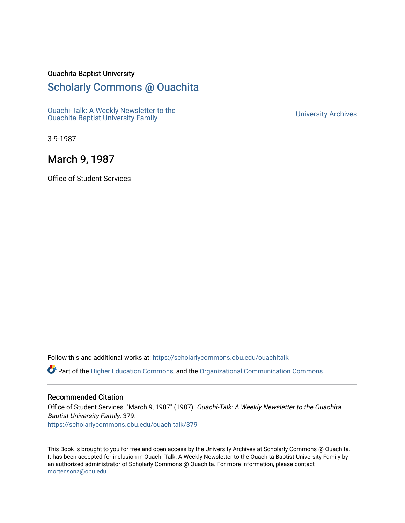#### Ouachita Baptist University

## [Scholarly Commons @ Ouachita](https://scholarlycommons.obu.edu/)

[Ouachi-Talk: A Weekly Newsletter to the](https://scholarlycommons.obu.edu/ouachitalk)  Ouachi-Taik. A weekly Newsletter to the community of the University Archives<br>[Ouachita Baptist University Family](https://scholarlycommons.obu.edu/ouachitalk)

3-9-1987

### March 9, 1987

Office of Student Services

Follow this and additional works at: [https://scholarlycommons.obu.edu/ouachitalk](https://scholarlycommons.obu.edu/ouachitalk?utm_source=scholarlycommons.obu.edu%2Fouachitalk%2F379&utm_medium=PDF&utm_campaign=PDFCoverPages) 

Part of the [Higher Education Commons,](http://network.bepress.com/hgg/discipline/1245?utm_source=scholarlycommons.obu.edu%2Fouachitalk%2F379&utm_medium=PDF&utm_campaign=PDFCoverPages) and the [Organizational Communication Commons](http://network.bepress.com/hgg/discipline/335?utm_source=scholarlycommons.obu.edu%2Fouachitalk%2F379&utm_medium=PDF&utm_campaign=PDFCoverPages)

#### Recommended Citation

Office of Student Services, "March 9, 1987" (1987). Ouachi-Talk: A Weekly Newsletter to the Ouachita Baptist University Family. 379. [https://scholarlycommons.obu.edu/ouachitalk/379](https://scholarlycommons.obu.edu/ouachitalk/379?utm_source=scholarlycommons.obu.edu%2Fouachitalk%2F379&utm_medium=PDF&utm_campaign=PDFCoverPages) 

This Book is brought to you for free and open access by the University Archives at Scholarly Commons @ Ouachita. It has been accepted for inclusion in Ouachi-Talk: A Weekly Newsletter to the Ouachita Baptist University Family by an authorized administrator of Scholarly Commons @ Ouachita. For more information, please contact [mortensona@obu.edu.](mailto:mortensona@obu.edu)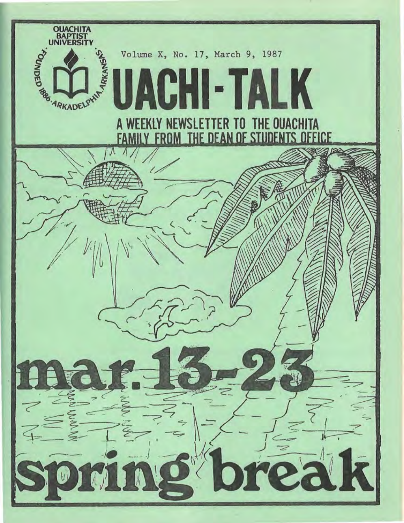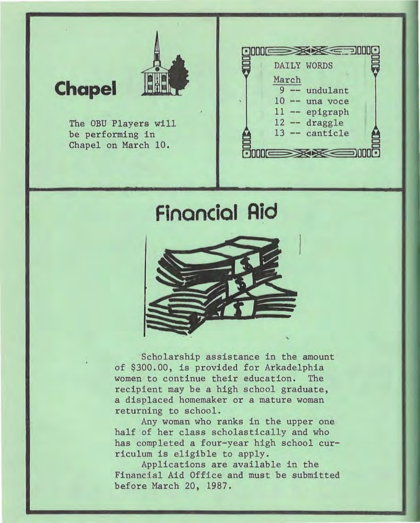## **Chapel ·**



The OBU Players will be performing in Chapel on March 10.



# **financial Aid**



Scholarship assistance in the amount of \$300.00, is provided for Arkadelphia women to continue their education. The recipient may be a high school graduate, a displaced homemaker or a mature woman returning to school.

Any woman who ranks in the upper one half of her class scholastically and who has completed a four-year high school curriculum is eligible to apply.

Applications are available in the Financial Aid Office and must be submitted before March 20, 1987.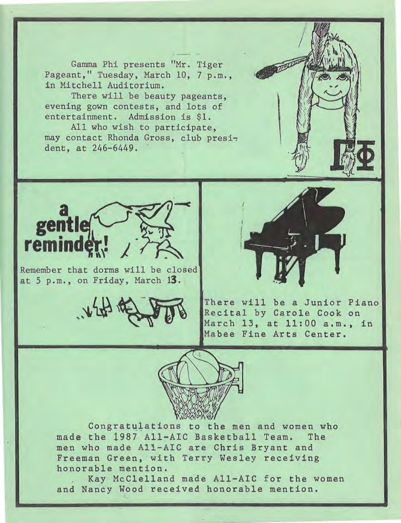Gamma Phi presents "Mr. Tiger Pageant," Tuesday, March 10, 7 p.m., in Mitchell Auditorium.<br>There will be beauty pageants, Gamma Phi presents "Mr. Tiger<br>nt," Tuesday, March 10, 7 p.m.,<br>tchell Auditorium.<br>There will be beauty pageants,<br>ng gown contests, and lots of

evening gown contests, and lots of entertainment. Admission is \$1.

All who wish to participate, may contact Rhonda Gross, club president, at 246-6449.



Remember that dorms will be closed at 5 p.m., on Friday, March 13.





There will be a Junior Piano Recital by Carole Cook on March 13, at 11:00 a.m., in Mabee Fine Arts Center.



Congratulations to the men and women who made the 1987 All-AIC Basketball Team. The men who made All-AIC are Chris Bryant and Freeman Green, with Terry Wesley receiving honorable mention.

Kay McClelland made All-AIC for the women and Nancy Wood received honorable mention.